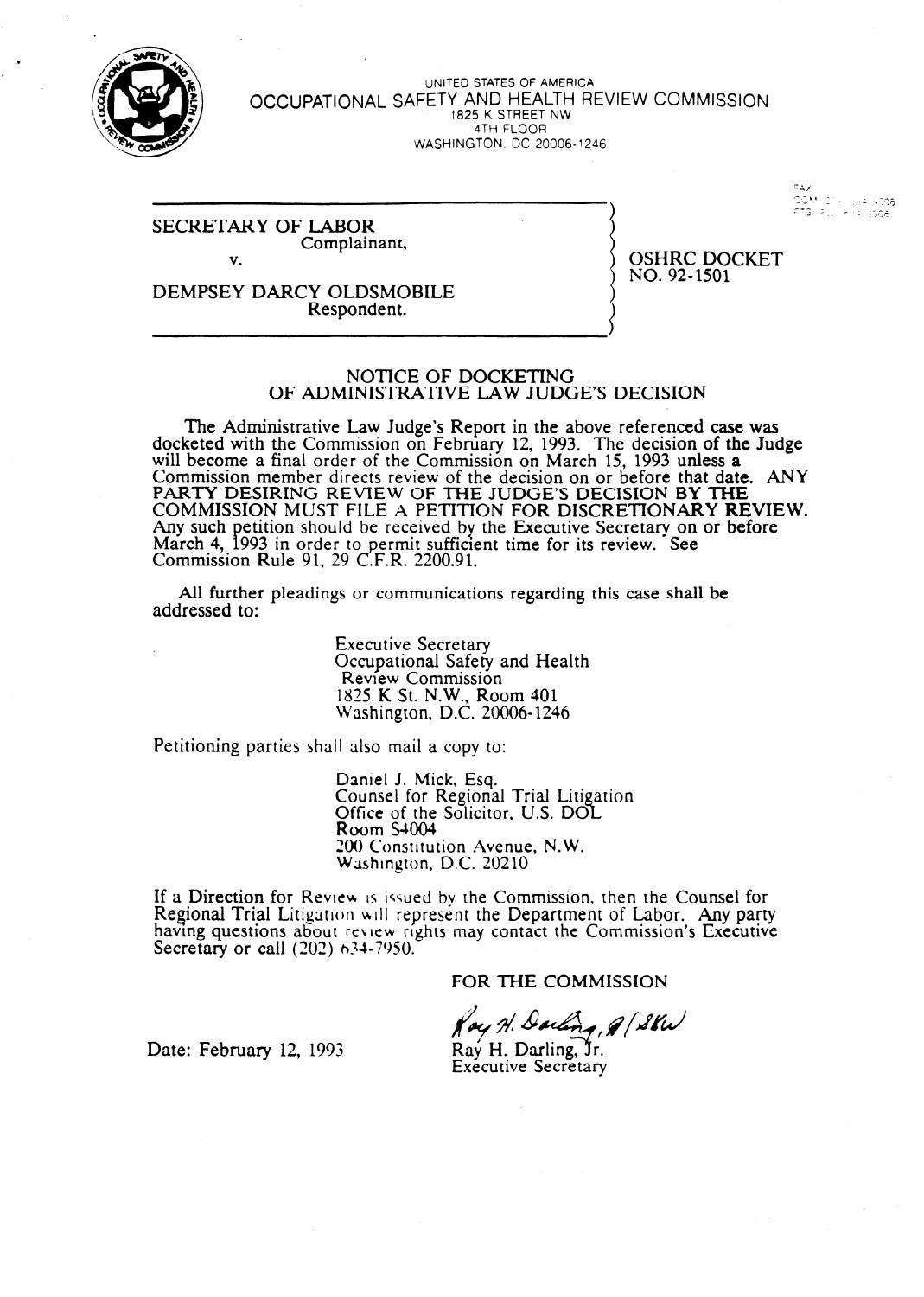

,

UNITED STATES OF AMERICA **OCCUPATIONAL SAFETY AND HEALTH REVIEW COMMISSION**  1825 K STREET NW 4TH FLOOR  $W$ ASHINGTON, DO 20006-1246

> أوالاه . 76<br>GOM (21) Keepinga<br>FTB Pulleer nga .<br>ມີຄະນະກຽດ

SECRETARY OF LABOR Complainant,

v.

OSHRC DOCKET  $\cdots$ ,  $\frac{1}{2}$   $\cdots$ 

DEMPTHSEY DATA CHARGES DATA CHARGES RESPONDENT. Respondent.

### NOTICE OF DOCKETING OF ADMINISTRATIVE LAW JUDGE'S DECISION  $\mathcal{O}_\mathcal{A}$  and  $\mathcal{O}_\mathcal{A}$  and  $\mathcal{O}_\mathcal{A}$  and  $\mathcal{O}_\mathcal{A}$  and  $\mathcal{O}_\mathcal{A}$  and  $\mathcal{O}_\mathcal{A}$  and  $\mathcal{O}_\mathcal{A}$  and  $\mathcal{O}_\mathcal{A}$

seted with the Commission on February 12, 1993. The decision of the Jud will become a final order of the Commission on March 15, 1993 unless a Commission member directs review of the decision on or before that date PARTY DESIRING REVIEW OF THE JUDGE'S DECISION BY THE<br>COMMISSION MUST FILE A BETTION FOR DISORETIONARY BEVIEW COMMISSION MUST FILE A PETITION FOR DISCRETIONARY RE Any such petition should be received by the Executive Secretary on or before March 4,<br>Commissi Commission 993 in order to permit sufficient time for its review. See<br>reports 01.20 CFB 2200.01  $\overline{p}$  Rule 91, 29 C.F.R. 2200.91.

All further pleadings or communications regarding this case shall be  $A$ l further pleadings or communications regarding the communications regarding this case shall be communicated this case shall be communicated that  $A$ 

> **Executive Secretary** Occupational Safety and Health<br>Review Commission  $1825$  K St N W Room 401  $\overline{\text{V}}$ ashington  $\overline{\text{D}}$  C  $\overline{\text{C}}$  20  $m_{\text{sum,UM}}$   $\mu_{\text{C}}$ . 20000  $\mu$

Petitioning parties shall also mail a copy to:

Daniel J. Mick, Esq.<br>Counsel for Regional Trial Litigation Office of the Solicito  $Room S4004$ 200 Constitution Avenue, N.W. Washington,

LOI) Constitution Avenue, N.W.  $ew$  is issued by the Com having questions about review rights may contact the Commission's Executive Secretary or call  $(202)$  634-7950.

FOR THE COMMISSION

Ray H. Darling, 8/8Kw

Date: February 12, 1993

Rav H. Darling, Jr. **Executive Secretary**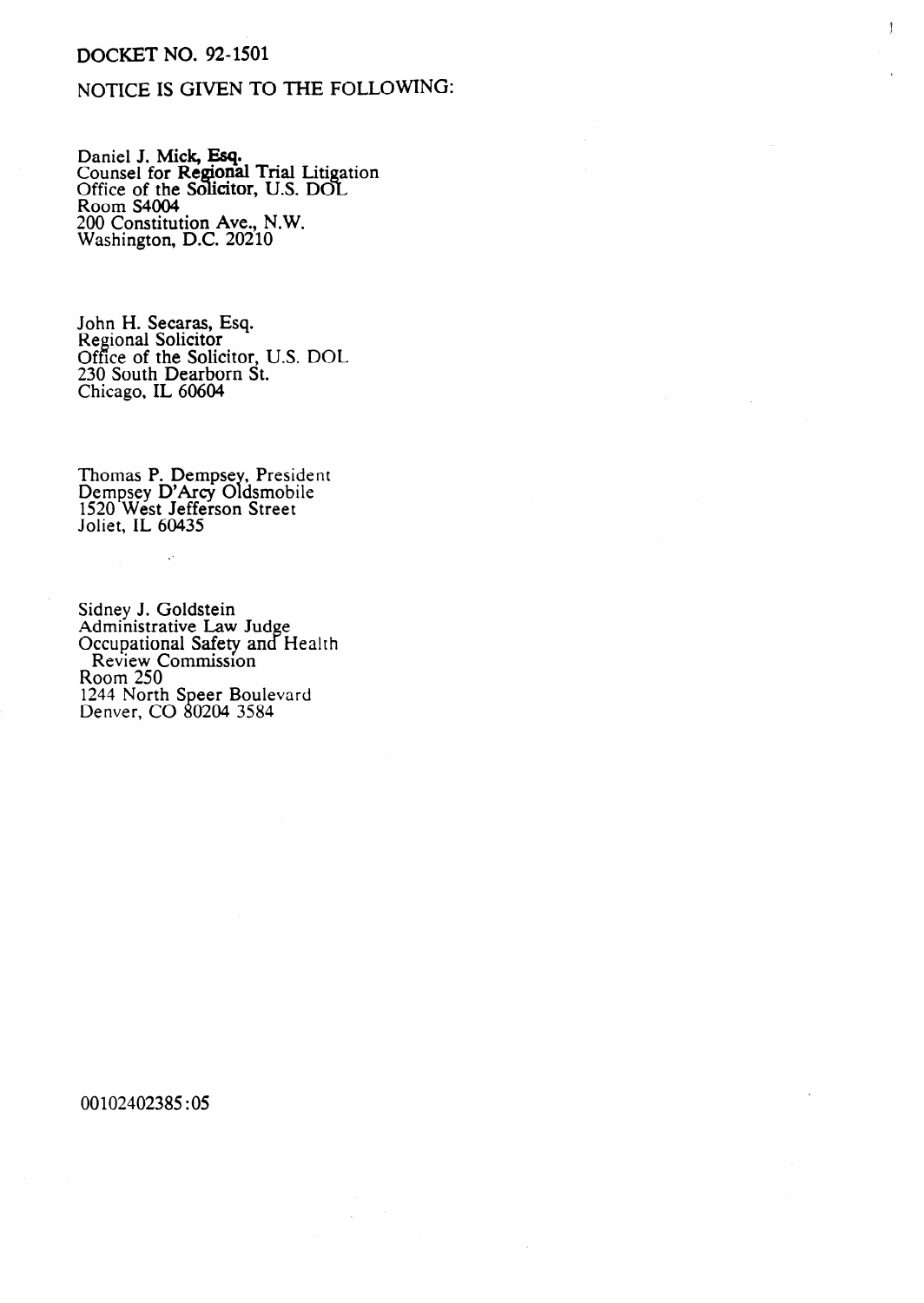## DOCKET NO. 92-1501

# NOTICE IS GIVEN TO THE FOLLOWING:

 $\mathcal{I}$ 

Daniel J. **Mick, ESY.**<br>Counsel for **Demons**l Counsel for **Regional** Trial Liti<br>Office of the Solicitor TTS DC лn<br>С Counser for Regional Trial Enganon<br>Office of the Solicitor, U.S. DOL<br>Room S4004 ROOM S<del>4004</del> 200 Constitution Ave., N.W. Washington, D.C. 20210

Regional Solicitor **Control** Controllection 230 South Dearborn St.  $\emph{Chicago}$ , IL 60604 Chicago, IL 60604

Dempsey D'Arcy Oldsmobile  $1520$  West Jetterson Street Joliet, IL 60435

Aunninsuauve Lav<br>Occupational Safet Occupational Salety and L.<br>Review Commission  $R_{\text{OOM}}$   $250$ vom 250<br>144 North Speer Rou rann Norm<br>Denver Cl  $B$  and,  $C$  or  $B$   $D$   $D$   $T$ 

00102402385:05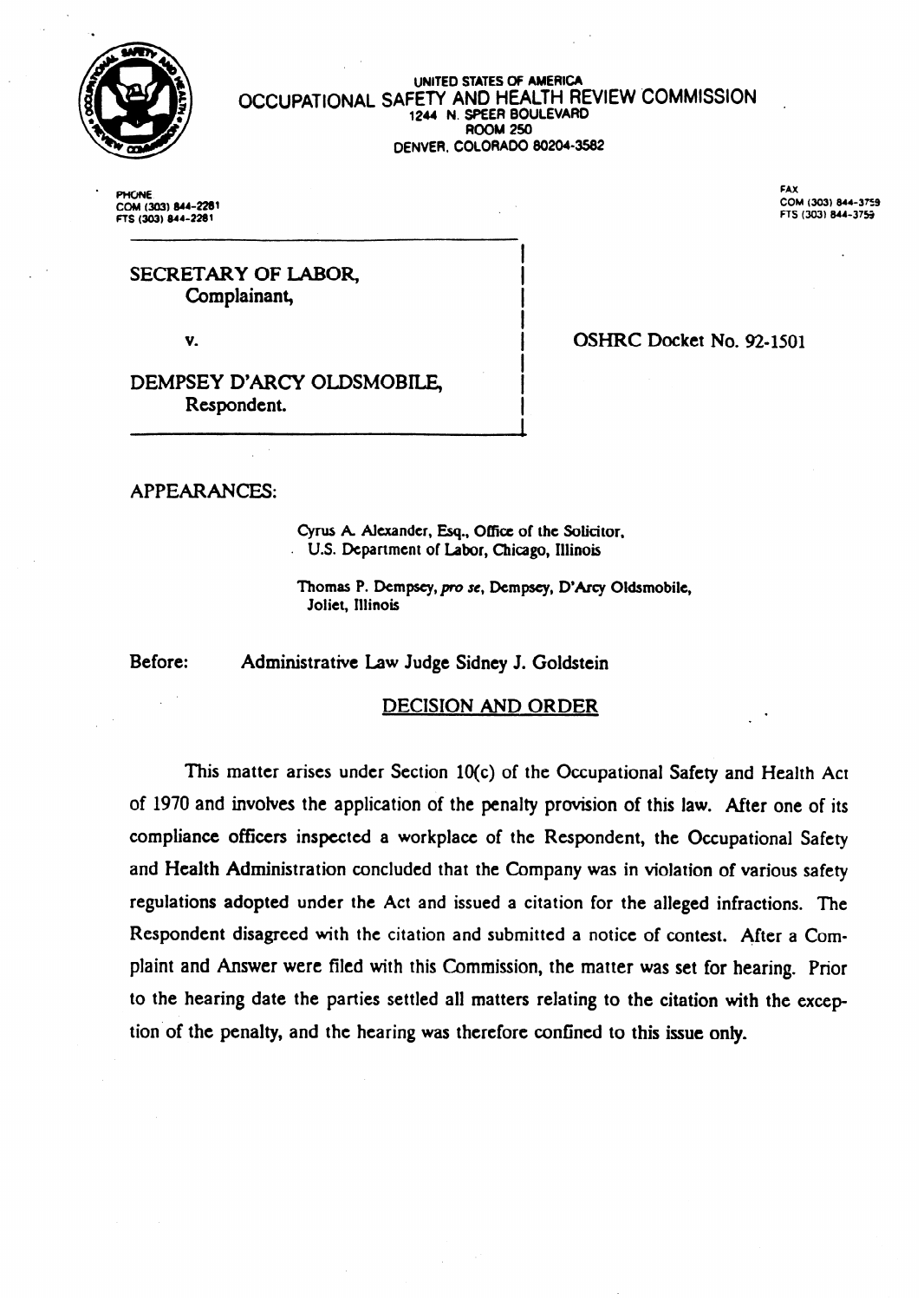

#### OCCUPATIONAL SAFETY AND HEALTH REVIEW COMMISSION **UNITED STATES Of AMERICA 1244 N. S?EER 80ULEVARD ROOM 250 DENVER, COLORADO 80204-3582**

**I** 

I I I I

I

. PHONE **FAX ns (303)** 844-2281 **ns (303) 844-37s** 

**COM (303) 644-2281 COM (303)** 844-3759

**.** 

SECRETARY OF LABOR, Complainant,

v.

OSHRC Docket No. 92-1501

DEMPSEY D'ARCY OLDSMOBILE, 1 Respondent.

APPEARANCES:

Cyrus A. Alexander, Esq., Office of the Solicitor, . **U.S.** Department of Labor, Chicago, Illinois

Thomas P. Dempsey, pro se, Dempsey, D'Arcy Oldsmobile, Joliet, Illinois

Before: Administrative Law Judge Sidney J. Goldstein

### DECISION AND ORDER

This matter arises under Section 10(c) of the Occupational Safety and Health Act of 1970 and involves the application of the penalty provision of this law. After one of its compliance officers inspected a workplace of the Respondent, the Occupational Safety and Health Administration concluded that the Company was in violation of various safety regulations adopted under the Act and issued a citation for the alleged infractions. The Respondent disagreed with the citation and submitted a notice of contest. After a Complaint and Answer were filed with this Commission, the matter was set for hearing. Prior to the hearing date the parties settled all matters relating to the citation with the exception'of the penalty, and the hearing was therefore confined to this issue only.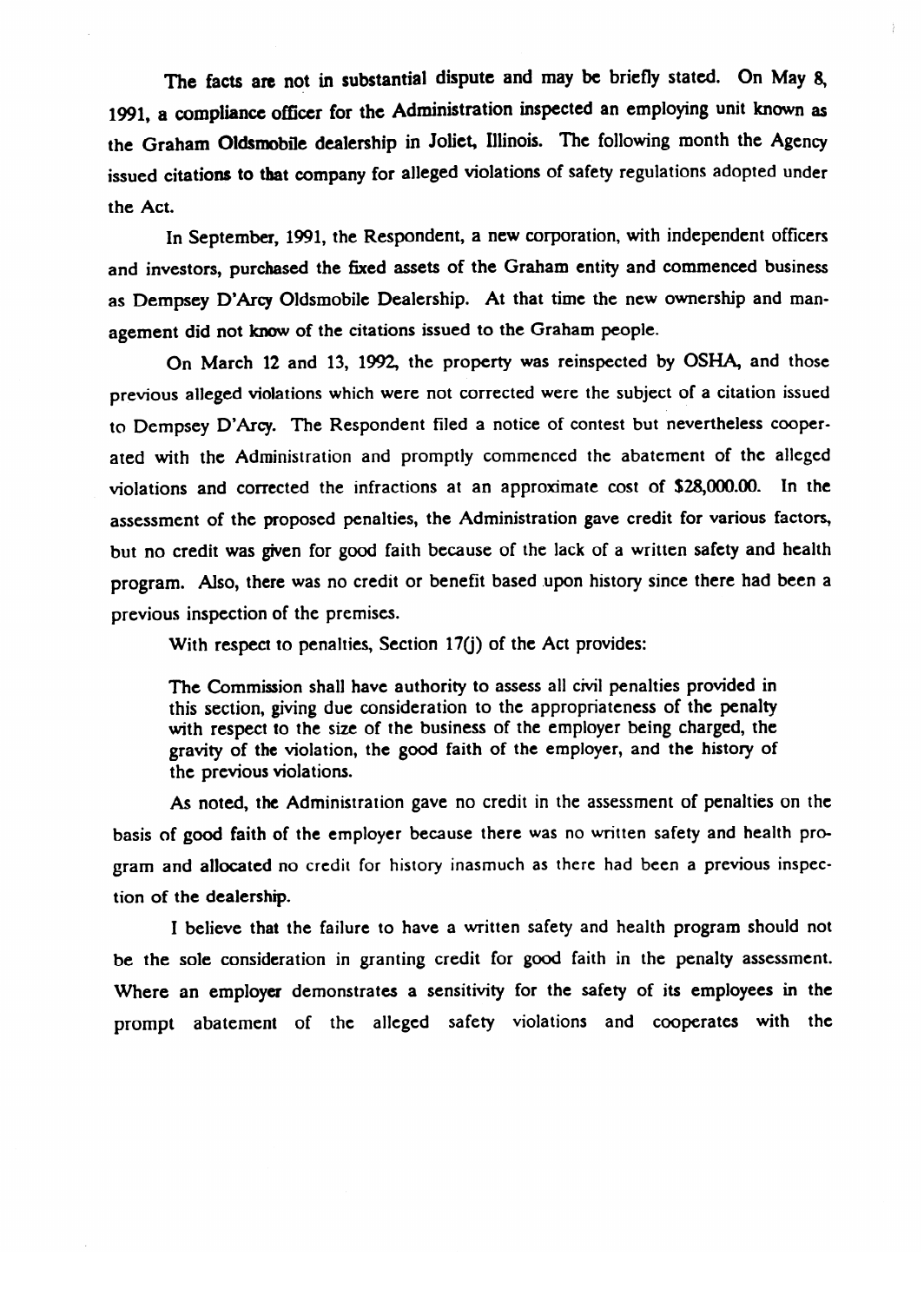The facts are not in substantial dispute and may be briefly stated. On May 8, 191, a **compiiancc** officer for the Administration inspected an employing unit known as the Graham Oldsmobile dealership in Joliet, Illinois. The following month the **Agency**  issued citations **to** tbat company for alleged violations of safety regulations adopted under the Act.

In September, 1991, the Respondent, a new corporation, with independent officers and investors, purchased the fixed assets of the Graham entity and commenced business as Dempsey D'Arcy Oldsmobile Dealership. At that time the new ownership and management did not know of the citations issued to the Graham people.<br>On March 12 and 13, 1992, the property was reinspected by OSHA, and those

previous alleged violations which were not corrected were the subject of a citation issued to Dempsey D'Arcy. The Respondent filed a notice of contest but nevertheless cooperated with the Administration and promptly commenced the abatement of the alleged violations and corrected the infractions at an approximate cost of  $$28,000.00$ . In the assessment of the proposed penalties, the Administration gave credit for various factors, but no credit was given for good faith because of the lack of a written safety and health program. Also, there was no credit or benefit based upon history since there had been a previous inspection of the premises.

With respect to penalties, Section 17(j) of the Act provides:

The Commission shall have authority to assess all civil penalties provided in this section, giving due consideration to the appropriateness of the penalty with respect to the size of the business of the employer being charged, the gravity of the violation, the good faith of the employer, and the history of the previous violations. gravity of the violations.

As noted, the Administration gave no credit in the assessment of penalties on the basis of good faith of the employer because there was no written safety and health program and allocated no credit for history inasmuch as there had been a previous inspection of the dealership.

I believe that the failure to have a written safety and health program should not be the sole consideration in granting credit for good faith in the penalty assessment. Where an employer demonstrates a sensitivity for the safety of its employees in the prompt abatement of the alleged safety violations and cooperates with the